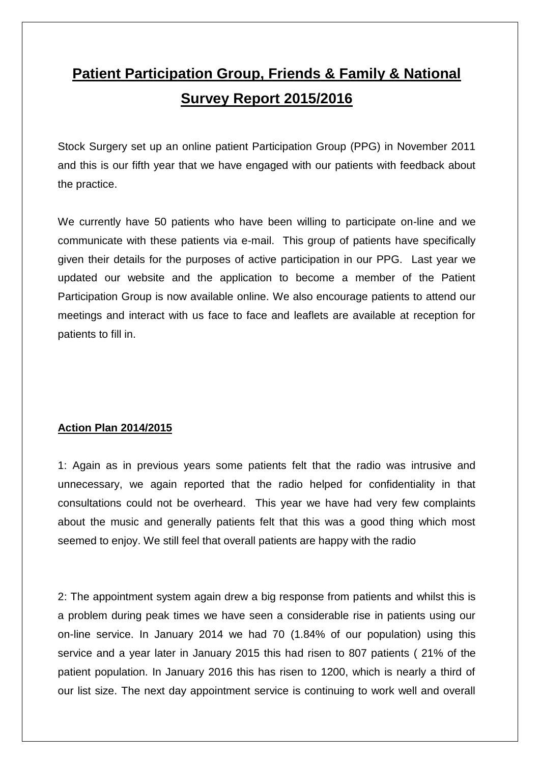# **Patient Participation Group, Friends & Family & National Survey Report 2015/2016**

Stock Surgery set up an online patient Participation Group (PPG) in November 2011 and this is our fifth year that we have engaged with our patients with feedback about the practice.

We currently have 50 patients who have been willing to participate on-line and we communicate with these patients via e-mail. This group of patients have specifically given their details for the purposes of active participation in our PPG. Last year we updated our website and the application to become a member of the Patient Participation Group is now available online. We also encourage patients to attend our meetings and interact with us face to face and leaflets are available at reception for patients to fill in.

### **Action Plan 2014/2015**

1: Again as in previous years some patients felt that the radio was intrusive and unnecessary, we again reported that the radio helped for confidentiality in that consultations could not be overheard. This year we have had very few complaints about the music and generally patients felt that this was a good thing which most seemed to enjoy. We still feel that overall patients are happy with the radio

2: The appointment system again drew a big response from patients and whilst this is a problem during peak times we have seen a considerable rise in patients using our on-line service. In January 2014 we had 70 (1.84% of our population) using this service and a year later in January 2015 this had risen to 807 patients ( 21% of the patient population. In January 2016 this has risen to 1200, which is nearly a third of our list size. The next day appointment service is continuing to work well and overall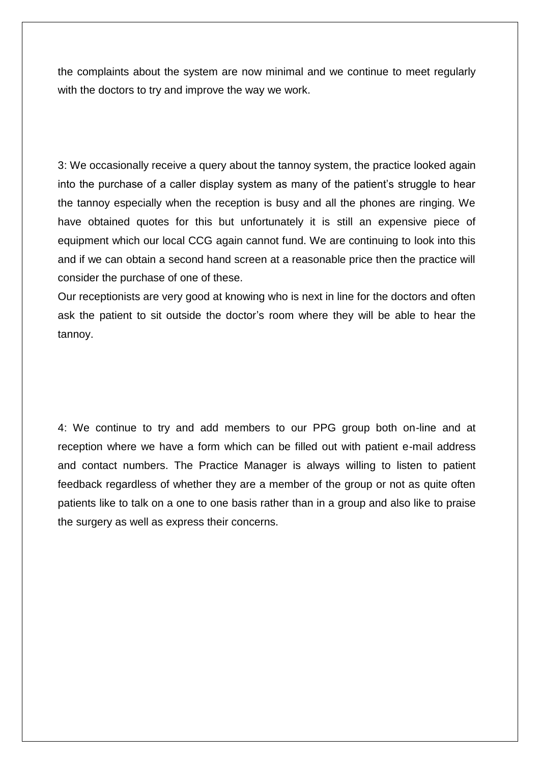the complaints about the system are now minimal and we continue to meet regularly with the doctors to try and improve the way we work.

3: We occasionally receive a query about the tannoy system, the practice looked again into the purchase of a caller display system as many of the patient's struggle to hear the tannoy especially when the reception is busy and all the phones are ringing. We have obtained quotes for this but unfortunately it is still an expensive piece of equipment which our local CCG again cannot fund. We are continuing to look into this and if we can obtain a second hand screen at a reasonable price then the practice will consider the purchase of one of these.

Our receptionists are very good at knowing who is next in line for the doctors and often ask the patient to sit outside the doctor's room where they will be able to hear the tannoy.

4: We continue to try and add members to our PPG group both on-line and at reception where we have a form which can be filled out with patient e-mail address and contact numbers. The Practice Manager is always willing to listen to patient feedback regardless of whether they are a member of the group or not as quite often patients like to talk on a one to one basis rather than in a group and also like to praise the surgery as well as express their concerns.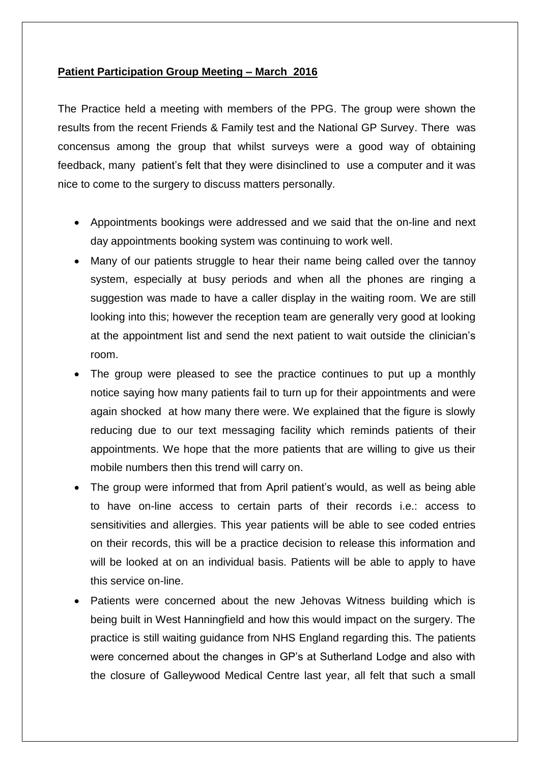#### **Patient Participation Group Meeting – March 2016**

The Practice held a meeting with members of the PPG. The group were shown the results from the recent Friends & Family test and the National GP Survey. There was concensus among the group that whilst surveys were a good way of obtaining feedback, many patient's felt that they were disinclined to use a computer and it was nice to come to the surgery to discuss matters personally.

- Appointments bookings were addressed and we said that the on-line and next day appointments booking system was continuing to work well.
- Many of our patients struggle to hear their name being called over the tannoy system, especially at busy periods and when all the phones are ringing a suggestion was made to have a caller display in the waiting room. We are still looking into this; however the reception team are generally very good at looking at the appointment list and send the next patient to wait outside the clinician's room.
- The group were pleased to see the practice continues to put up a monthly notice saying how many patients fail to turn up for their appointments and were again shocked at how many there were. We explained that the figure is slowly reducing due to our text messaging facility which reminds patients of their appointments. We hope that the more patients that are willing to give us their mobile numbers then this trend will carry on.
- The group were informed that from April patient's would, as well as being able to have on-line access to certain parts of their records i.e.: access to sensitivities and allergies. This year patients will be able to see coded entries on their records, this will be a practice decision to release this information and will be looked at on an individual basis. Patients will be able to apply to have this service on-line.
- Patients were concerned about the new Jehovas Witness building which is being built in West Hanningfield and how this would impact on the surgery. The practice is still waiting guidance from NHS England regarding this. The patients were concerned about the changes in GP's at Sutherland Lodge and also with the closure of Galleywood Medical Centre last year, all felt that such a small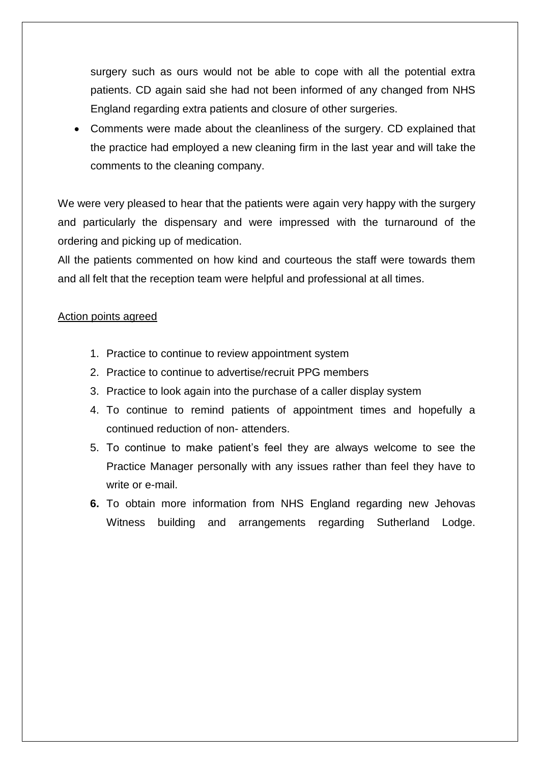surgery such as ours would not be able to cope with all the potential extra patients. CD again said she had not been informed of any changed from NHS England regarding extra patients and closure of other surgeries.

 Comments were made about the cleanliness of the surgery. CD explained that the practice had employed a new cleaning firm in the last year and will take the comments to the cleaning company.

We were very pleased to hear that the patients were again very happy with the surgery and particularly the dispensary and were impressed with the turnaround of the ordering and picking up of medication.

All the patients commented on how kind and courteous the staff were towards them and all felt that the reception team were helpful and professional at all times.

#### Action points agreed

- 1. Practice to continue to review appointment system
- 2. Practice to continue to advertise/recruit PPG members
- 3. Practice to look again into the purchase of a caller display system
- 4. To continue to remind patients of appointment times and hopefully a continued reduction of non- attenders.
- 5. To continue to make patient's feel they are always welcome to see the Practice Manager personally with any issues rather than feel they have to write or e-mail.
- **6.** To obtain more information from NHS England regarding new Jehovas Witness building and arrangements regarding Sutherland Lodge.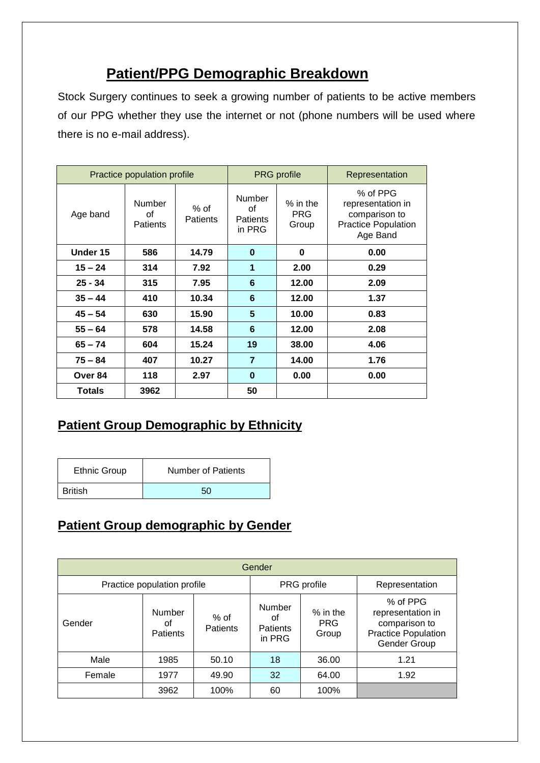## **Patient/PPG Demographic Breakdown**

Stock Surgery continues to seek a growing number of patients to be active members of our PPG whether they use the internet or not (phone numbers will be used where there is no e-mail address).

| Practice population profile |                                 |                           | <b>PRG</b> profile                        |                                   | Representation                                                                           |
|-----------------------------|---------------------------------|---------------------------|-------------------------------------------|-----------------------------------|------------------------------------------------------------------------------------------|
| Age band                    | Number<br>οf<br><b>Patients</b> | $%$ of<br><b>Patients</b> | Number<br>οf<br><b>Patients</b><br>in PRG | $%$ in the<br><b>PRG</b><br>Group | % of PPG<br>representation in<br>comparison to<br><b>Practice Population</b><br>Age Band |
| Under 15                    | 586                             | 14.79                     | $\bf{0}$                                  | 0                                 | 0.00                                                                                     |
| $15 - 24$                   | 314                             | 7.92                      | 1                                         | 2.00                              | 0.29                                                                                     |
| $25 - 34$                   | 315                             | 7.95                      | 6                                         | 12.00                             | 2.09                                                                                     |
| $35 - 44$                   | 410                             | 10.34                     | 6                                         | 12.00                             | 1.37                                                                                     |
| $45 - 54$                   | 630                             | 15.90                     | 5                                         | 10.00                             | 0.83                                                                                     |
| $55 - 64$                   | 578                             | 14.58                     | 6                                         | 12.00                             | 2.08                                                                                     |
| $65 - 74$                   | 604                             | 15.24                     | 19                                        | 38.00                             | 4.06                                                                                     |
| $75 - 84$                   | 407                             | 10.27                     | $\overline{7}$                            | 14.00                             | 1.76                                                                                     |
| Over 84                     | 118                             | 2.97                      | $\bf{0}$                                  | 0.00                              | 0.00                                                                                     |
| <b>Totals</b>               | 3962                            |                           | 50                                        |                                   |                                                                                          |

### **Patient Group Demographic by Ethnicity**

| <b>Ethnic Group</b> | <b>Number of Patients</b> |
|---------------------|---------------------------|
| <b>British</b>      | 50                        |

### **Patient Group demographic by Gender**

| Gender                      |                                        |                    |                                                  |                                   |                                                                                              |  |  |
|-----------------------------|----------------------------------------|--------------------|--------------------------------------------------|-----------------------------------|----------------------------------------------------------------------------------------------|--|--|
| Practice population profile |                                        |                    | PRG profile                                      |                                   | Representation                                                                               |  |  |
| Gender                      | <b>Number</b><br>οf<br><b>Patients</b> | $%$ of<br>Patients | <b>Number</b><br>Ωf<br><b>Patients</b><br>in PRG | $%$ in the<br><b>PRG</b><br>Group | % of PPG<br>representation in<br>comparison to<br><b>Practice Population</b><br>Gender Group |  |  |
| Male                        | 1985                                   | 50.10              | 18                                               | 36.00                             | 1.21                                                                                         |  |  |
| Female                      | 1977                                   | 49.90              | 32                                               | 64.00                             | 1.92                                                                                         |  |  |
|                             | 3962                                   | 100%               | 60                                               | 100%                              |                                                                                              |  |  |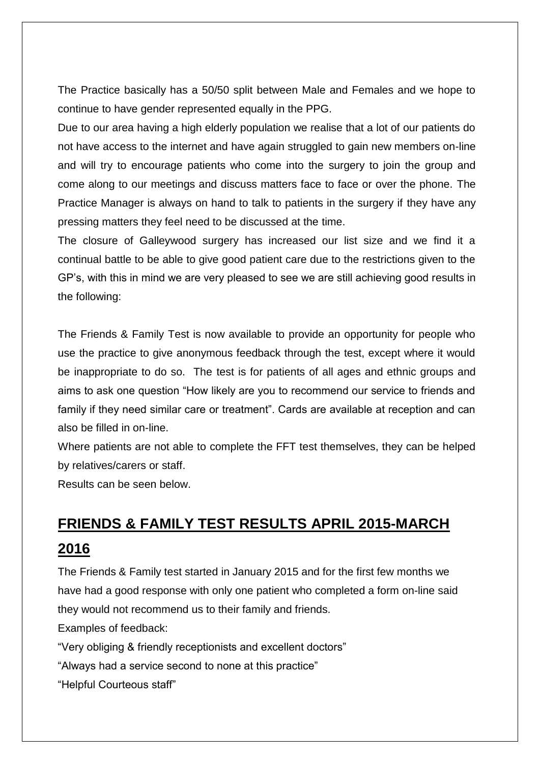The Practice basically has a 50/50 split between Male and Females and we hope to continue to have gender represented equally in the PPG.

Due to our area having a high elderly population we realise that a lot of our patients do not have access to the internet and have again struggled to gain new members on-line and will try to encourage patients who come into the surgery to join the group and come along to our meetings and discuss matters face to face or over the phone. The Practice Manager is always on hand to talk to patients in the surgery if they have any pressing matters they feel need to be discussed at the time.

The closure of Galleywood surgery has increased our list size and we find it a continual battle to be able to give good patient care due to the restrictions given to the GP's, with this in mind we are very pleased to see we are still achieving good results in the following:

The Friends & Family Test is now available to provide an opportunity for people who use the practice to give anonymous feedback through the test, except where it would be inappropriate to do so. The test is for patients of all ages and ethnic groups and aims to ask one question "How likely are you to recommend our service to friends and family if they need similar care or treatment". Cards are available at reception and can also be filled in on-line.

Where patients are not able to complete the FFT test themselves, they can be helped by relatives/carers or staff.

Results can be seen below.

# **FRIENDS & FAMILY TEST RESULTS APRIL 2015-MARCH 2016**

The Friends & Family test started in January 2015 and for the first few months we have had a good response with only one patient who completed a form on-line said they would not recommend us to their family and friends. Examples of feedback:

"Very obliging & friendly receptionists and excellent doctors"

"Always had a service second to none at this practice"

"Helpful Courteous staff"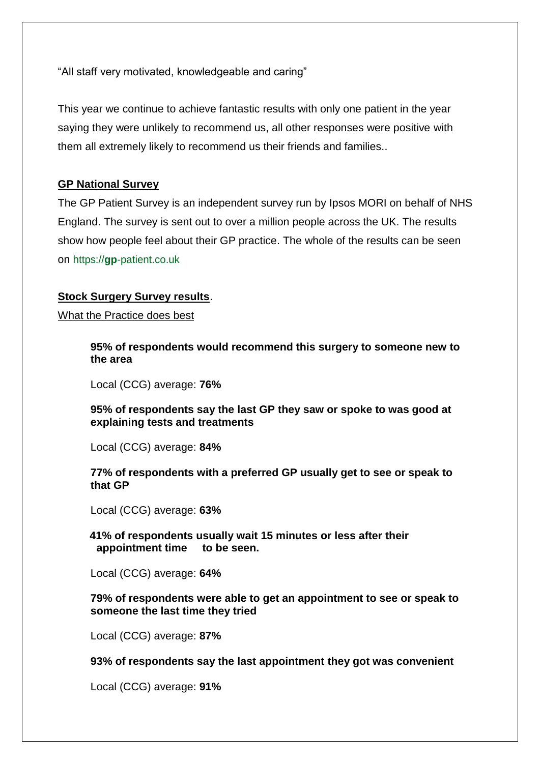"All staff very motivated, knowledgeable and caring"

This year we continue to achieve fantastic results with only one patient in the year saying they were unlikely to recommend us, all other responses were positive with them all extremely likely to recommend us their friends and families..

#### **GP National Survey**

The GP Patient Survey is an independent survey run by Ipsos MORI on behalf of NHS England. The survey is sent out to over a million people across the UK. The results show how people feel about their GP practice. The whole of the results can be seen on https://**gp**-patient.co.uk

#### **Stock Surgery Survey results**.

What the Practice does best

**95% of respondents would recommend this surgery to someone new to the area** 

Local (CCG) average: **76%**

**95% of respondents say the last GP they saw or spoke to was good at explaining tests and treatments** 

Local (CCG) average: **84%**

**77% of respondents with a preferred GP usually get to see or speak to that GP** 

Local (CCG) average: **63%**

 **41% of respondents usually wait 15 minutes or less after their appointment time to be seen.**

Local (CCG) average: **64%**

**79% of respondents were able to get an appointment to see or speak to someone the last time they tried** 

Local (CCG) average: **87%**

**93% of respondents say the last appointment they got was convenient** 

Local (CCG) average: **91%**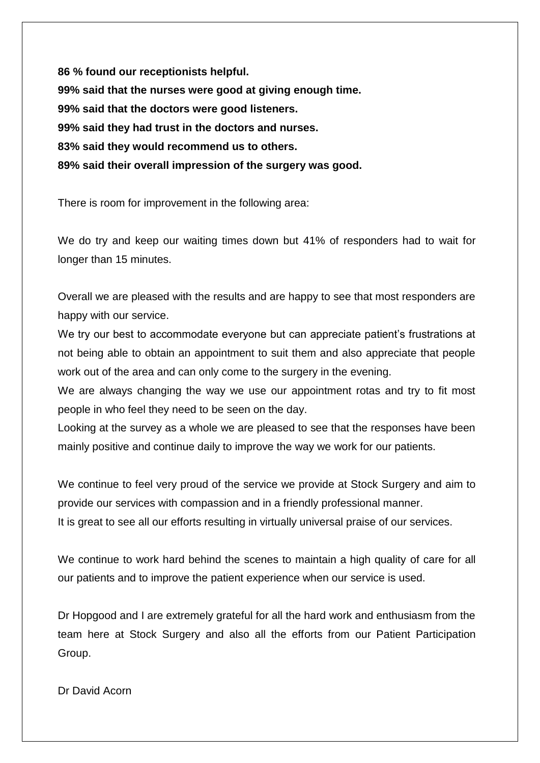**86 % found our receptionists helpful. 99% said that the nurses were good at giving enough time. 99% said that the doctors were good listeners. 99% said they had trust in the doctors and nurses. 83% said they would recommend us to others. 89% said their overall impression of the surgery was good.**

There is room for improvement in the following area:

We do try and keep our waiting times down but 41% of responders had to wait for longer than 15 minutes.

Overall we are pleased with the results and are happy to see that most responders are happy with our service.

We try our best to accommodate everyone but can appreciate patient's frustrations at not being able to obtain an appointment to suit them and also appreciate that people work out of the area and can only come to the surgery in the evening.

We are always changing the way we use our appointment rotas and try to fit most people in who feel they need to be seen on the day.

Looking at the survey as a whole we are pleased to see that the responses have been mainly positive and continue daily to improve the way we work for our patients.

We continue to feel very proud of the service we provide at Stock Surgery and aim to provide our services with compassion and in a friendly professional manner.

It is great to see all our efforts resulting in virtually universal praise of our services.

We continue to work hard behind the scenes to maintain a high quality of care for all our patients and to improve the patient experience when our service is used.

Dr Hopgood and I are extremely grateful for all the hard work and enthusiasm from the team here at Stock Surgery and also all the efforts from our Patient Participation Group.

Dr David Acorn